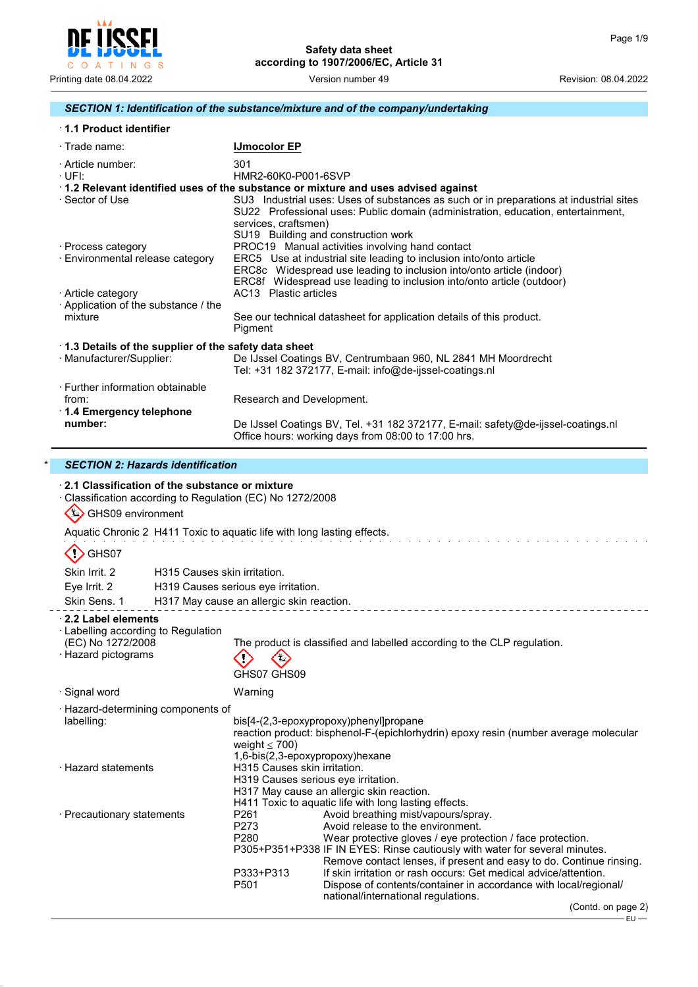

## *SECTION 1: Identification of the substance/mixture and of the company/undertaking*

| <b>1.1 Product identifier</b> |
|-------------------------------|
|-------------------------------|

| $\cdot$ Trade name:                                      | <b>IJmocolor EP</b>                                                                                                                                                                                                                       |
|----------------------------------------------------------|-------------------------------------------------------------------------------------------------------------------------------------------------------------------------------------------------------------------------------------------|
| · Article number:<br>· UFI:                              | 301<br>HMR2-60K0-P001-6SVP                                                                                                                                                                                                                |
|                                                          | 1.2 Relevant identified uses of the substance or mixture and uses advised against                                                                                                                                                         |
| · Sector of Use                                          | SU3 Industrial uses: Uses of substances as such or in preparations at industrial sites<br>SU22 Professional uses: Public domain (administration, education, entertainment,<br>services, craftsmen)<br>SU19 Building and construction work |
| · Process category                                       | PROC19 Manual activities involving hand contact                                                                                                                                                                                           |
| Environmental release category                           | ERC5 Use at industrial site leading to inclusion into/onto article                                                                                                                                                                        |
|                                                          | ERC8c Widespread use leading to inclusion into/onto article (indoor)                                                                                                                                                                      |
|                                                          | ERC8f Widespread use leading to inclusion into/onto article (outdoor)                                                                                                                                                                     |
| · Article category<br>Application of the substance / the | AC13 Plastic articles                                                                                                                                                                                                                     |
| mixture                                                  | See our technical datasheet for application details of this product.<br>Pigment                                                                                                                                                           |
| 1.3 Details of the supplier of the safety data sheet     |                                                                                                                                                                                                                                           |
| · Manufacturer/Supplier:                                 | De IJssel Coatings BV, Centrumbaan 960, NL 2841 MH Moordrecht<br>Tel: +31 182 372177, E-mail: info@de-ijssel-coatings.nl                                                                                                                  |
| ⋅ Further information obtainable                         |                                                                                                                                                                                                                                           |
| from:                                                    | Research and Development.                                                                                                                                                                                                                 |
| $\cdot$ 1.4 Emergency telephone                          |                                                                                                                                                                                                                                           |
| number:                                                  | De IJssel Coatings BV, Tel. +31 182 372177, E-mail: safety@de-ijssel-coatings.nl<br>Office hours: working days from 08:00 to 17:00 hrs.                                                                                                   |

## \* *SECTION 2: Hazards identification*

| GHS09 environment                                                               | 2.1 Classification of the substance or mixture | Classification according to Regulation (EC) No 1272/2008                                                                                                                  |                                                                                                                                                                                                                                                                                                                                                                                                                                      |  |
|---------------------------------------------------------------------------------|------------------------------------------------|---------------------------------------------------------------------------------------------------------------------------------------------------------------------------|--------------------------------------------------------------------------------------------------------------------------------------------------------------------------------------------------------------------------------------------------------------------------------------------------------------------------------------------------------------------------------------------------------------------------------------|--|
|                                                                                 |                                                | Aquatic Chronic 2 H411 Toxic to aquatic life with long lasting effects.                                                                                                   |                                                                                                                                                                                                                                                                                                                                                                                                                                      |  |
| GHS07                                                                           |                                                |                                                                                                                                                                           |                                                                                                                                                                                                                                                                                                                                                                                                                                      |  |
| Skin Irrit, 2                                                                   |                                                | H315 Causes skin irritation.                                                                                                                                              |                                                                                                                                                                                                                                                                                                                                                                                                                                      |  |
| Eye Irrit. 2                                                                    |                                                | H319 Causes serious eye irritation.                                                                                                                                       |                                                                                                                                                                                                                                                                                                                                                                                                                                      |  |
| Skin Sens. 1                                                                    |                                                | H317 May cause an allergic skin reaction.                                                                                                                                 |                                                                                                                                                                                                                                                                                                                                                                                                                                      |  |
| 2.2 Label elements                                                              |                                                |                                                                                                                                                                           |                                                                                                                                                                                                                                                                                                                                                                                                                                      |  |
| · Labelling according to Regulation<br>(EC) No 1272/2008<br>· Hazard pictograms |                                                | GHS07 GHS09                                                                                                                                                               | The product is classified and labelled according to the CLP regulation.                                                                                                                                                                                                                                                                                                                                                              |  |
| · Signal word                                                                   |                                                | Warning                                                                                                                                                                   |                                                                                                                                                                                                                                                                                                                                                                                                                                      |  |
| · Hazard-determining components of<br>labelling:                                |                                                | weight $\leq 700$ )                                                                                                                                                       | bis[4-(2,3-epoxypropoxy)phenyl]propane<br>reaction product: bisphenol-F-(epichlorhydrin) epoxy resin (number average molecular<br>1,6-bis(2,3-epoxypropoxy)hexane                                                                                                                                                                                                                                                                    |  |
| · Hazard statements                                                             |                                                | H315 Causes skin irritation.<br>H319 Causes serious eye irritation.<br>H317 May cause an allergic skin reaction.<br>H411 Toxic to aquatic life with long lasting effects. |                                                                                                                                                                                                                                                                                                                                                                                                                                      |  |
| · Precautionary statements                                                      |                                                | P261<br>P273<br>P280<br>P333+P313<br>P501                                                                                                                                 | Avoid breathing mist/vapours/spray.<br>Avoid release to the environment.<br>Wear protective gloves / eye protection / face protection.<br>P305+P351+P338 IF IN EYES: Rinse cautiously with water for several minutes.<br>Remove contact lenses, if present and easy to do. Continue rinsing.<br>If skin irritation or rash occurs: Get medical advice/attention.<br>Dispose of contents/container in accordance with local/regional/ |  |
|                                                                                 |                                                |                                                                                                                                                                           | national/international regulations.<br>(Contd. on page 2)                                                                                                                                                                                                                                                                                                                                                                            |  |
|                                                                                 |                                                |                                                                                                                                                                           | ∙EU —                                                                                                                                                                                                                                                                                                                                                                                                                                |  |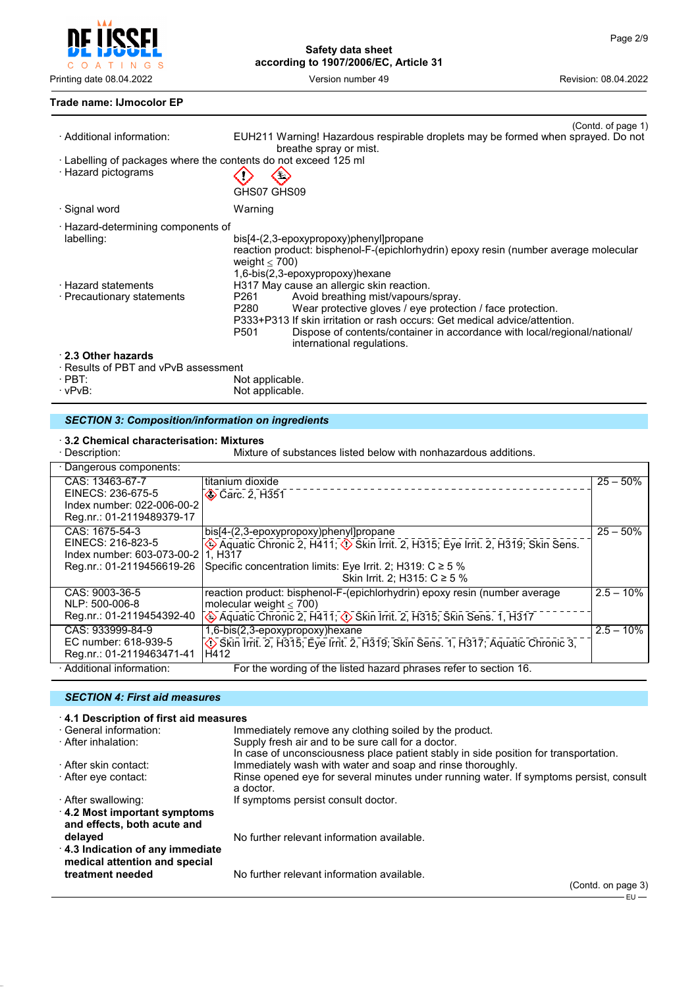

Printing date 08.04.2022 **Version number 49** Version number 49 Revision: 08.04.2022

#### **Trade name: IJmocolor EP**

| · Additional information:                                                              | (Contd. of page 1)<br>EUH211 Warning! Hazardous respirable droplets may be formed when sprayed. Do not<br>breathe spray or mist.                                                                                                                                                                                               |
|----------------------------------------------------------------------------------------|--------------------------------------------------------------------------------------------------------------------------------------------------------------------------------------------------------------------------------------------------------------------------------------------------------------------------------|
| · Labelling of packages where the contents do not exceed 125 ml<br>· Hazard pictograms | GHS07 GHS09                                                                                                                                                                                                                                                                                                                    |
| · Signal word                                                                          | Warning                                                                                                                                                                                                                                                                                                                        |
| · Hazard-determining components of<br>labelling:                                       | bis[4-(2,3-epoxypropoxy)phenyl]propane<br>reaction product: bisphenol-F-(epichlorhydrin) epoxy resin (number average molecular<br>weight $<$ 700)<br>1,6-bis(2,3-epoxypropoxy)hexane                                                                                                                                           |
| · Hazard statements                                                                    | H317 May cause an allergic skin reaction.                                                                                                                                                                                                                                                                                      |
| · Precautionary statements                                                             | Avoid breathing mist/vapours/spray.<br>P261<br>Wear protective gloves / eye protection / face protection.<br>P280<br>P333+P313 If skin irritation or rash occurs: Get medical advice/attention.<br>P <sub>501</sub><br>Dispose of contents/container in accordance with local/regional/national/<br>international regulations. |
| 2.3 Other hazards<br>· Results of PBT and vPvB assessment                              |                                                                                                                                                                                                                                                                                                                                |

- 
- · PBT: Not applicable.
- · vPvB: Not applicable.

# *SECTION 3: Composition/information on ingredients*

#### · **3.2 Chemical characterisation: Mixtures**

| Mixture of substances listed below with nonhazardous additions.<br>· Description:               |                                                                                                                                                                                                                                                               |              |  |
|-------------------------------------------------------------------------------------------------|---------------------------------------------------------------------------------------------------------------------------------------------------------------------------------------------------------------------------------------------------------------|--------------|--|
| · Dangerous components:                                                                         |                                                                                                                                                                                                                                                               |              |  |
| CAS: 13463-67-7<br>EINECS: 236-675-5<br>Index number: 022-006-00-2<br>Reg.nr.: 01-2119489379-17 | titanium dioxide<br>Carc. 2, H351                                                                                                                                                                                                                             | $25 - 50%$   |  |
| CAS: 1675-54-3<br>EINECS: 216-823-5<br>Index number: 603-073-00-2<br>Reg.nr.: 01-2119456619-26  | bis[4-(2,3-epoxypropoxy)phenyl]propane<br>Aquatic Chronic 2, H411; $\circled{}$ Skin Irrit. 2, H315; Eye Irrit. 2, H319; Skin Sens.<br>1. H <sub>3</sub> 17<br>Specific concentration limits: Eye Irrit. 2; H319: $C \ge 5$ %<br>Skin Irrit. 2; H315: C ≥ 5 % | $25 - 50\%$  |  |
| CAS: 9003-36-5<br>NLP: 500-006-8<br>Reg.nr.: 01-2119454392-40                                   | reaction product: bisphenol-F-(epichlorhydrin) epoxy resin (number average<br>molecular weight $<$ 700)<br>Aquatic Chronic 2, H411; $\circled{}$ Skin Irrit. 2, H315; Skin Sens. 1, H317                                                                      | $2.5 - 10\%$ |  |
| CAS: 933999-84-9<br>EC number: 618-939-5<br>Reg.nr.: 01-2119463471-41                           | 1,6-bis(2,3-epoxypropoxy)hexane<br>Skin Irrit. 2, H315; Eye Irrit. 2, H319; Skin Sens. 1, H317; Aquatic Chronic 3,<br>H412                                                                                                                                    | $2.5 - 10\%$ |  |
| · Additional information:                                                                       | For the wording of the listed hazard phrases refer to section 16.                                                                                                                                                                                             |              |  |

### *SECTION 4: First aid measures*

| 4.1 Description of first aid measures |                                                                                        |
|---------------------------------------|----------------------------------------------------------------------------------------|
| · General information:                | Immediately remove any clothing soiled by the product.                                 |
| · After inhalation:                   | Supply fresh air and to be sure call for a doctor.                                     |
|                                       | In case of unconsciousness place patient stably in side position for transportation.   |
| · After skin contact:                 | Immediately wash with water and soap and rinse thoroughly.                             |
| ⋅ After eye contact:                  | Rinse opened eye for several minutes under running water. If symptoms persist, consult |
|                                       | a doctor.                                                                              |
| · After swallowing:                   | If symptoms persist consult doctor.                                                    |
| $\cdot$ 4.2 Most important symptoms   |                                                                                        |
| and effects, both acute and           |                                                                                        |
| delayed                               | No further relevant information available.                                             |
| 4.3 Indication of any immediate       |                                                                                        |
| medical attention and special         |                                                                                        |
| treatment needed                      | No further relevant information available.                                             |
|                                       | $(Constant \cap "P)$                                                                   |

(Contd. on page 3)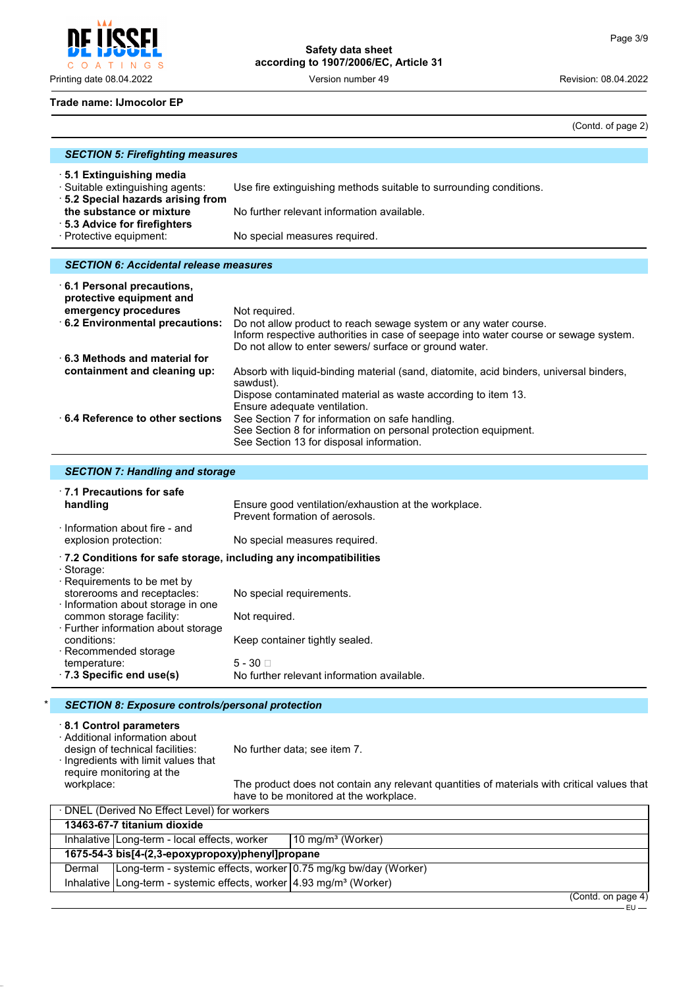$O$   $A$ INGS  $\top$ 

# **Safety data sheet according to 1907/2006/EC, Article 31**

Printing date 08.04.2022 Version number 49 Revision: 08.04.2022

### **Trade name: IJmocolor EP**

(Contd. of page 2)

| <b>SECTION 5: Firefighting measures</b>                                                                                                                                                  |                                                                                                                                                                                                                                     |  |  |
|------------------------------------------------------------------------------------------------------------------------------------------------------------------------------------------|-------------------------------------------------------------------------------------------------------------------------------------------------------------------------------------------------------------------------------------|--|--|
| ⋅5.1 Extinguishing media<br>· Suitable extinguishing agents:<br>5.2 Special hazards arising from<br>the substance or mixture<br>⋅ 5.3 Advice for firefighters<br>· Protective equipment: | Use fire extinguishing methods suitable to surrounding conditions.<br>No further relevant information available.<br>No special measures required.                                                                                   |  |  |
|                                                                                                                                                                                          |                                                                                                                                                                                                                                     |  |  |
|                                                                                                                                                                                          |                                                                                                                                                                                                                                     |  |  |
| <b>SECTION 6: Accidental release measures</b>                                                                                                                                            |                                                                                                                                                                                                                                     |  |  |
| $\cdot$ 6.1 Personal precautions,<br>protective equipment and<br>emergency procedures<br>6.2 Environmental precautions:                                                                  | Not required.<br>Do not allow product to reach sewage system or any water course.<br>Inform respective authorities in case of seepage into water course or sewage system.<br>Do not allow to enter sewers/ surface or ground water. |  |  |
| $\cdot$ 6.3 Methods and material for<br>containment and cleaning up:                                                                                                                     | Absorb with liquid-binding material (sand, diatomite, acid binders, universal binders,<br>sawdust).<br>Dispose contaminated material as waste according to item 13.<br>Ensure adequate ventilation.                                 |  |  |
| $\cdot$ 6.4 Reference to other sections.                                                                                                                                                 | See Section 7 for information on safe handling.<br>See Section 8 for information on personal protection equipment.<br>See Section 13 for disposal information.                                                                      |  |  |

## *SECTION 7: Handling and storage*

| 1.1 Precautions for safe<br>handling                                                                                                                                                                                                                                                                                                                               | Ensure good ventilation/exhaustion at the workplace.<br>Prevent formation of aerosols.                                                       |
|--------------------------------------------------------------------------------------------------------------------------------------------------------------------------------------------------------------------------------------------------------------------------------------------------------------------------------------------------------------------|----------------------------------------------------------------------------------------------------------------------------------------------|
| Information about fire - and<br>explosion protection:                                                                                                                                                                                                                                                                                                              | No special measures required.                                                                                                                |
| $\cdot$ 7.2 Conditions for safe storage, including any incompatibilities<br>· Storage:<br>$\cdot$ Requirements to be met by<br>storerooms and receptacles:<br>Information about storage in one<br>common storage facility:<br>· Further information about storage<br>conditions:<br>$\cdot$ Recommended storage<br>temperature:<br>$\cdot$ 7.3 Specific end use(s) | No special requirements.<br>Not required.<br>Keep container tightly sealed.<br>$5 - 30$ $\Box$<br>No further relevant information available. |

## \* *SECTION 8: Exposure controls/personal protection*

# · **8.1 Control parameters**

· Additional information about

No further data; see item 7.

· Ingredients with limit values that require monitoring at the<br>workplace:

The product does not contain any relevant quantities of materials with critical values that have to be monitored at the workplace.

| ⋅ DNEL (Derived No Effect Level) for workers                                           |                              |
|----------------------------------------------------------------------------------------|------------------------------|
| 13463-67-7 titanium dioxide                                                            |                              |
| Inhalative   Long-term - local effects, worker                                         | $10 \text{ mg/m}^3$ (Worker) |
| 1675-54-3 bis[4-(2,3-epoxypropoxy)phenyl]propane                                       |                              |
| Dermal   Long-term - systemic effects, worker 0.75 mg/kg bw/day (Worker)               |                              |
| Inhalative Long-term - systemic effects, worker $\frac{4.93 \text{ mg}}{m^3}$ (Worker) |                              |
|                                                                                        | (Contd. on page 4)           |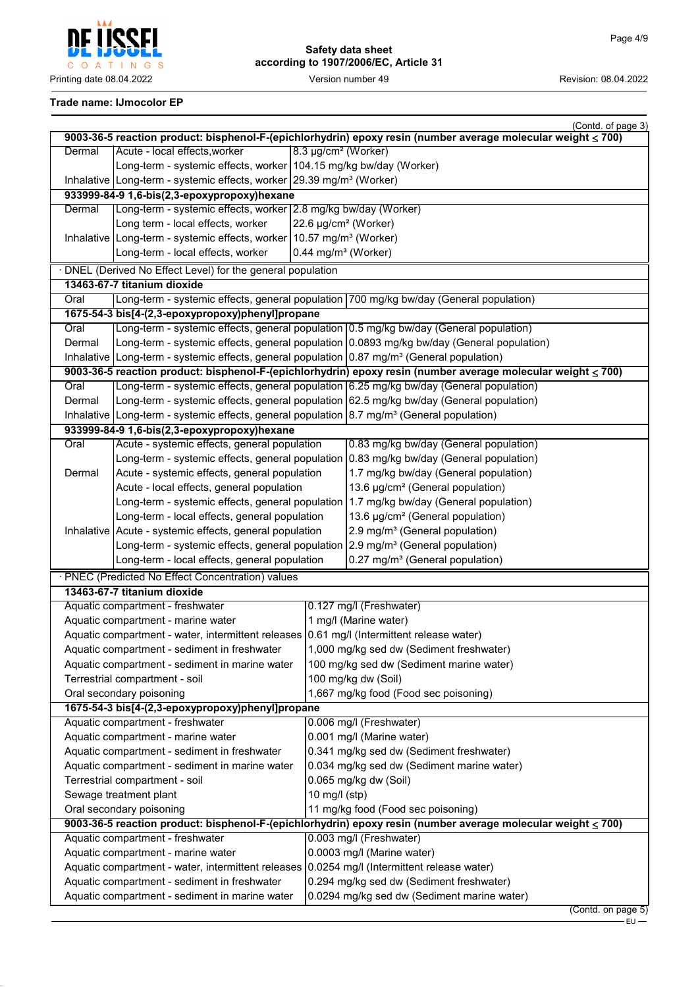

# **Trade name: IJmocolor EP**

|                                                                                               |                                                                                                        |                                            | (Contd. of page 3)                                                                                           |  |
|-----------------------------------------------------------------------------------------------|--------------------------------------------------------------------------------------------------------|--------------------------------------------|--------------------------------------------------------------------------------------------------------------|--|
|                                                                                               |                                                                                                        |                                            | 9003-36-5 reaction product: bisphenol-F-(epichlorhydrin) epoxy resin (number average molecular weight ≤ 700) |  |
| Dermal                                                                                        | Acute - local effects, worker                                                                          |                                            | 8.3 µg/cm <sup>2</sup> (Worker)                                                                              |  |
|                                                                                               | Long-term - systemic effects, worker 104.15 mg/kg bw/day (Worker)                                      |                                            |                                                                                                              |  |
|                                                                                               | Inhalative Long-term - systemic effects, worker 29.39 mg/m <sup>3</sup> (Worker)                       |                                            |                                                                                                              |  |
|                                                                                               | 933999-84-9 1,6-bis(2,3-epoxypropoxy)hexane                                                            |                                            |                                                                                                              |  |
| Dermal                                                                                        | Long-term - systemic effects, worker 2.8 mg/kg bw/day (Worker)                                         |                                            |                                                                                                              |  |
|                                                                                               | Long term - local effects, worker                                                                      |                                            | 22.6 µg/cm <sup>2</sup> (Worker)                                                                             |  |
|                                                                                               | Inhalative   Long-term - systemic effects, worker   10.57 mg/m <sup>3</sup> (Worker)                   |                                            |                                                                                                              |  |
|                                                                                               | Long-term - local effects, worker                                                                      |                                            | 0.44 mg/m <sup>3</sup> (Worker)                                                                              |  |
|                                                                                               | · DNEL (Derived No Effect Level) for the general population                                            |                                            |                                                                                                              |  |
|                                                                                               | 13463-67-7 titanium dioxide                                                                            |                                            |                                                                                                              |  |
| Oral                                                                                          |                                                                                                        |                                            | Long-term - systemic effects, general population 700 mg/kg bw/day (General population)                       |  |
|                                                                                               | 1675-54-3 bis[4-(2,3-epoxypropoxy)phenyl]propane                                                       |                                            |                                                                                                              |  |
| Oral                                                                                          | Long-term - systemic effects, general population 0.5 mg/kg bw/day (General population)                 |                                            |                                                                                                              |  |
| Dermal                                                                                        |                                                                                                        |                                            | Long-term - systemic effects, general population 0.0893 mg/kg bw/day (General population)                    |  |
|                                                                                               | Inhalative Long-term - systemic effects, general population $0.87 \text{ mg/m}^3$ (General population) |                                            |                                                                                                              |  |
|                                                                                               |                                                                                                        |                                            | 9003-36-5 reaction product: bisphenol-F-(epichlorhydrin) epoxy resin (number average molecular weight ≤ 700) |  |
| Oral                                                                                          |                                                                                                        |                                            | Long-term - systemic effects, general population 6.25 mg/kg bw/day (General population)                      |  |
| Dermal                                                                                        |                                                                                                        |                                            | Long-term - systemic effects, general population 62.5 mg/kg bw/day (General population)                      |  |
|                                                                                               | Inhalative Long-term - systemic effects, general population 8.7 mg/m <sup>3</sup> (General population) |                                            |                                                                                                              |  |
|                                                                                               | 933999-84-9 1,6-bis(2,3-epoxypropoxy)hexane                                                            |                                            |                                                                                                              |  |
| Oral                                                                                          | Acute - systemic effects, general population                                                           |                                            | 0.83 mg/kg bw/day (General population)                                                                       |  |
|                                                                                               |                                                                                                        |                                            | Long-term - systemic effects, general population 0.83 mg/kg bw/day (General population)                      |  |
| Dermal                                                                                        | Acute - systemic effects, general population                                                           |                                            | 1.7 mg/kg bw/day (General population)                                                                        |  |
|                                                                                               | Acute - local effects, general population                                                              |                                            | 13.6 µg/cm <sup>2</sup> (General population)                                                                 |  |
|                                                                                               | Long-term - systemic effects, general population                                                       |                                            | 1.7 mg/kg bw/day (General population)                                                                        |  |
|                                                                                               | Long-term - local effects, general population                                                          |                                            | 13.6 µg/cm <sup>2</sup> (General population)                                                                 |  |
|                                                                                               | Inhalative   Acute - systemic effects, general population                                              |                                            | 2.9 mg/m <sup>3</sup> (General population)                                                                   |  |
|                                                                                               | Long-term - systemic effects, general population 2.9 mg/m <sup>3</sup> (General population)            |                                            |                                                                                                              |  |
|                                                                                               | Long-term - local effects, general population                                                          |                                            | 0.27 mg/m <sup>3</sup> (General population)                                                                  |  |
|                                                                                               |                                                                                                        |                                            |                                                                                                              |  |
|                                                                                               | · PNEC (Predicted No Effect Concentration) values                                                      |                                            |                                                                                                              |  |
|                                                                                               | 13463-67-7 titanium dioxide                                                                            |                                            |                                                                                                              |  |
|                                                                                               | Aquatic compartment - freshwater                                                                       |                                            | 0.127 mg/l (Freshwater)                                                                                      |  |
|                                                                                               | Aquatic compartment - marine water                                                                     |                                            | 1 mg/l (Marine water)                                                                                        |  |
|                                                                                               | Aquatic compartment - water, intermittent releases 0.61 mg/l (Intermittent release water)              |                                            |                                                                                                              |  |
|                                                                                               | Aquatic compartment - sediment in freshwater                                                           |                                            | 1,000 mg/kg sed dw (Sediment freshwater)                                                                     |  |
|                                                                                               | Aquatic compartment - sediment in marine water                                                         |                                            | 100 mg/kg sed dw (Sediment marine water)                                                                     |  |
|                                                                                               | Terrestrial compartment - soil                                                                         |                                            | 100 mg/kg dw (Soil)                                                                                          |  |
|                                                                                               | Oral secondary poisoning                                                                               |                                            | 1,667 mg/kg food (Food sec poisoning)                                                                        |  |
|                                                                                               | 1675-54-3 bis[4-(2,3-epoxypropoxy)phenyl]propane                                                       |                                            |                                                                                                              |  |
|                                                                                               | Aquatic compartment - freshwater                                                                       |                                            | 0.006 mg/l (Freshwater)                                                                                      |  |
|                                                                                               | 0.001 mg/l (Marine water)<br>Aquatic compartment - marine water                                        |                                            |                                                                                                              |  |
|                                                                                               | 0.341 mg/kg sed dw (Sediment freshwater)<br>Aquatic compartment - sediment in freshwater               |                                            |                                                                                                              |  |
|                                                                                               | Aquatic compartment - sediment in marine water                                                         | 0.034 mg/kg sed dw (Sediment marine water) |                                                                                                              |  |
|                                                                                               | Terrestrial compartment - soil<br>0.065 mg/kg dw (Soil)                                                |                                            |                                                                                                              |  |
|                                                                                               | 10 mg/l $(stp)$<br>Sewage treatment plant                                                              |                                            |                                                                                                              |  |
|                                                                                               | Oral secondary poisoning                                                                               |                                            | 11 mg/kg food (Food sec poisoning)                                                                           |  |
|                                                                                               |                                                                                                        |                                            | 9003-36-5 reaction product: bisphenol-F-(epichlorhydrin) epoxy resin (number average molecular weight ≤ 700) |  |
|                                                                                               | Aquatic compartment - freshwater                                                                       |                                            | 0.003 mg/l (Freshwater)                                                                                      |  |
| Aquatic compartment - marine water                                                            |                                                                                                        | 0.0003 mg/l (Marine water)                 |                                                                                                              |  |
|                                                                                               | Aquatic compartment - water, intermittent releases 0.0254 mg/l (Intermittent release water)            |                                            |                                                                                                              |  |
| 0.294 mg/kg sed dw (Sediment freshwater)<br>Aquatic compartment - sediment in freshwater      |                                                                                                        |                                            |                                                                                                              |  |
| 0.0294 mg/kg sed dw (Sediment marine water)<br>Aquatic compartment - sediment in marine water |                                                                                                        |                                            |                                                                                                              |  |
|                                                                                               |                                                                                                        |                                            | (Contd. on page 5)                                                                                           |  |

EU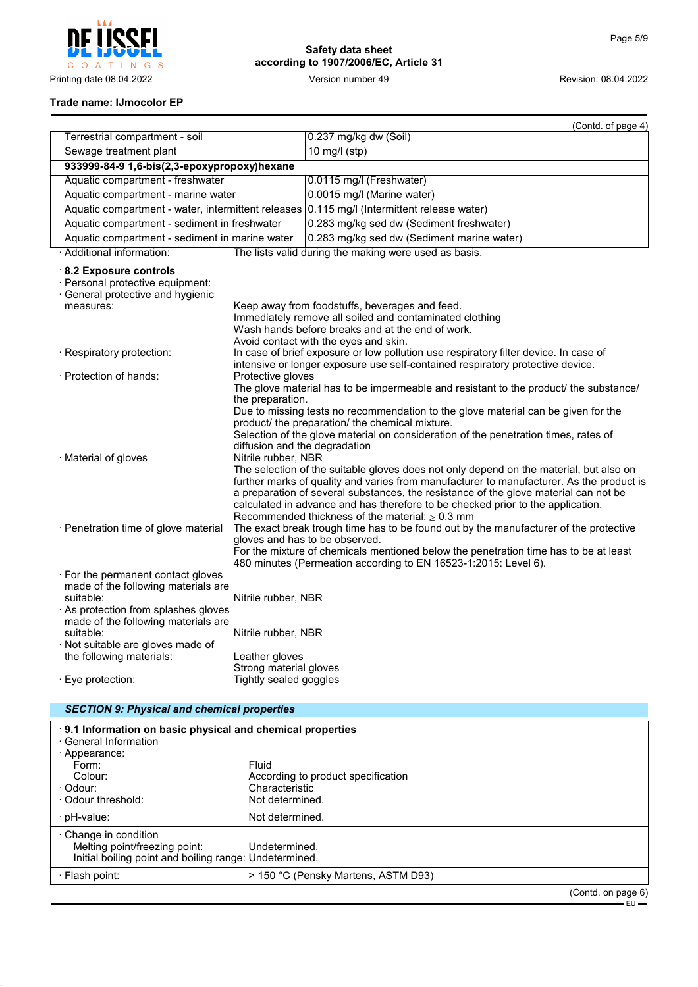

## **Trade name: IJmocolor EP**

|                                                                                                                                                                                                                                                                        |                                                                                                                  | (Contd. of page 4)                                                                                                                                                                                                                                                                                                                                                                                                                                                                                                                                                                                                                       |  |
|------------------------------------------------------------------------------------------------------------------------------------------------------------------------------------------------------------------------------------------------------------------------|------------------------------------------------------------------------------------------------------------------|------------------------------------------------------------------------------------------------------------------------------------------------------------------------------------------------------------------------------------------------------------------------------------------------------------------------------------------------------------------------------------------------------------------------------------------------------------------------------------------------------------------------------------------------------------------------------------------------------------------------------------------|--|
| Terrestrial compartment - soil                                                                                                                                                                                                                                         |                                                                                                                  | 0.237 mg/kg dw (Soil)                                                                                                                                                                                                                                                                                                                                                                                                                                                                                                                                                                                                                    |  |
| Sewage treatment plant                                                                                                                                                                                                                                                 |                                                                                                                  | 10 mg/l (stp)                                                                                                                                                                                                                                                                                                                                                                                                                                                                                                                                                                                                                            |  |
| 933999-84-9 1,6-bis(2,3-epoxypropoxy)hexane                                                                                                                                                                                                                            |                                                                                                                  |                                                                                                                                                                                                                                                                                                                                                                                                                                                                                                                                                                                                                                          |  |
| Aquatic compartment - freshwater                                                                                                                                                                                                                                       |                                                                                                                  | 0.0115 mg/l (Freshwater)                                                                                                                                                                                                                                                                                                                                                                                                                                                                                                                                                                                                                 |  |
| Aquatic compartment - marine water                                                                                                                                                                                                                                     |                                                                                                                  | 0.0015 mg/l (Marine water)                                                                                                                                                                                                                                                                                                                                                                                                                                                                                                                                                                                                               |  |
| Aquatic compartment - water, intermittent releases                                                                                                                                                                                                                     |                                                                                                                  | 0.115 mg/l (Intermittent release water)                                                                                                                                                                                                                                                                                                                                                                                                                                                                                                                                                                                                  |  |
| Aquatic compartment - sediment in freshwater                                                                                                                                                                                                                           |                                                                                                                  | 0.283 mg/kg sed dw (Sediment freshwater)                                                                                                                                                                                                                                                                                                                                                                                                                                                                                                                                                                                                 |  |
| Aquatic compartment - sediment in marine water                                                                                                                                                                                                                         |                                                                                                                  | 0.283 mg/kg sed dw (Sediment marine water)                                                                                                                                                                                                                                                                                                                                                                                                                                                                                                                                                                                               |  |
| · Additional information:                                                                                                                                                                                                                                              |                                                                                                                  | The lists valid during the making were used as basis.                                                                                                                                                                                                                                                                                                                                                                                                                                                                                                                                                                                    |  |
| 8.2 Exposure controls<br>· Personal protective equipment:<br>General protective and hygienic<br>measures:                                                                                                                                                              |                                                                                                                  | Keep away from foodstuffs, beverages and feed.<br>Immediately remove all soiled and contaminated clothing<br>Wash hands before breaks and at the end of work.<br>Avoid contact with the eyes and skin.                                                                                                                                                                                                                                                                                                                                                                                                                                   |  |
| · Respiratory protection:                                                                                                                                                                                                                                              |                                                                                                                  | In case of brief exposure or low pollution use respiratory filter device. In case of<br>intensive or longer exposure use self-contained respiratory protective device.                                                                                                                                                                                                                                                                                                                                                                                                                                                                   |  |
| · Protection of hands:                                                                                                                                                                                                                                                 | Protective gloves<br>the preparation.<br>diffusion and the degradation                                           | The glove material has to be impermeable and resistant to the product/ the substance/<br>Due to missing tests no recommendation to the glove material can be given for the<br>product/ the preparation/ the chemical mixture.<br>Selection of the glove material on consideration of the penetration times, rates of                                                                                                                                                                                                                                                                                                                     |  |
| · Material of gloves<br>· Penetration time of glove material                                                                                                                                                                                                           | Nitrile rubber, NBR                                                                                              | The selection of the suitable gloves does not only depend on the material, but also on<br>further marks of quality and varies from manufacturer to manufacturer. As the product is<br>a preparation of several substances, the resistance of the glove material can not be<br>calculated in advance and has therefore to be checked prior to the application.<br>Recommended thickness of the material: $\geq 0.3$ mm<br>The exact break trough time has to be found out by the manufacturer of the protective<br>gloves and has to be observed.<br>For the mixture of chemicals mentioned below the penetration time has to be at least |  |
| · For the permanent contact gloves<br>made of the following materials are<br>suitable:<br>As protection from splashes gloves<br>made of the following materials are<br>suitable:<br>· Not suitable are gloves made of<br>the following materials:<br>· Eye protection: | Nitrile rubber, NBR<br>Nitrile rubber, NBR<br>Leather gloves<br>Strong material gloves<br>Tightly sealed goggles | 480 minutes (Permeation according to EN 16523-1:2015: Level 6).                                                                                                                                                                                                                                                                                                                                                                                                                                                                                                                                                                          |  |

# *SECTION 9: Physical and chemical properties*

| 9.1 Information on basic physical and chemical properties<br>· General Information<br>· Appearance:                    |                                     |                    |
|------------------------------------------------------------------------------------------------------------------------|-------------------------------------|--------------------|
| Form:                                                                                                                  | Fluid                               |                    |
| Colour:                                                                                                                | According to product specification  |                    |
| · Odour:                                                                                                               | Characteristic                      |                    |
| Odour threshold:                                                                                                       | Not determined.                     |                    |
| · pH-value:                                                                                                            | Not determined.                     |                    |
| $\cdot$ Change in condition<br>Melting point/freezing point:<br>Initial boiling point and boiling range: Undetermined. | Undetermined.                       |                    |
| · Flash point:                                                                                                         | > 150 °C (Pensky Martens, ASTM D93) |                    |
|                                                                                                                        |                                     | (Contd. on page 6) |

EU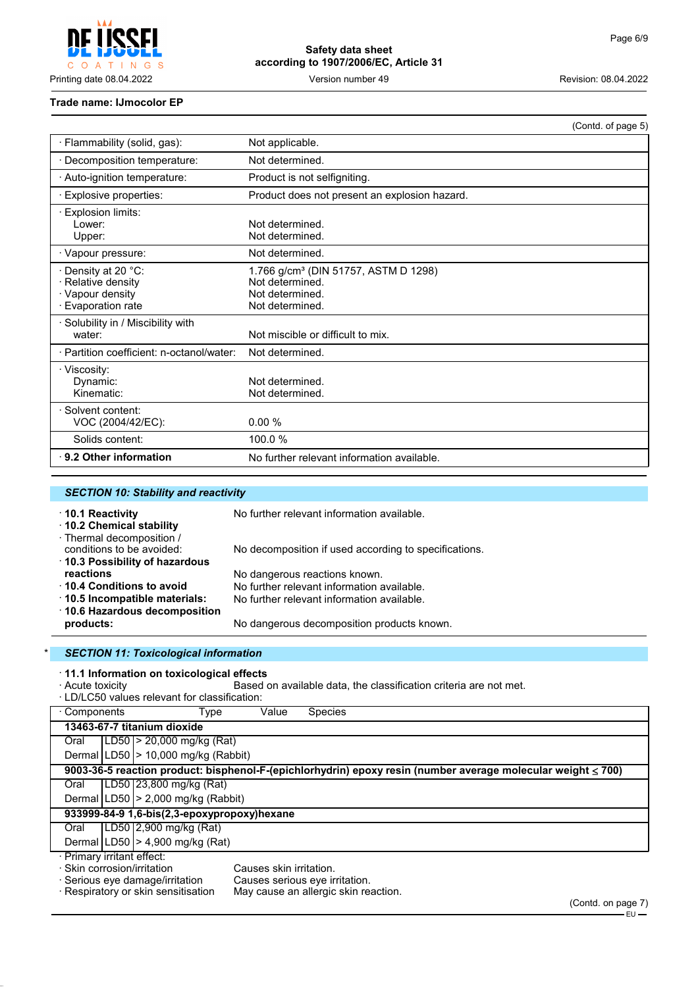

#### **Trade name: IJmocolor EP**

|                                                                                     |                                                                                                           | (Contd. of page 5) |
|-------------------------------------------------------------------------------------|-----------------------------------------------------------------------------------------------------------|--------------------|
| · Flammability (solid, gas):                                                        | Not applicable.                                                                                           |                    |
| · Decomposition temperature:                                                        | Not determined.                                                                                           |                    |
| Auto-ignition temperature:                                                          | Product is not selfigniting.                                                                              |                    |
| · Explosive properties:                                                             | Product does not present an explosion hazard.                                                             |                    |
| Explosion limits:<br>Lower:<br>Upper:                                               | Not determined.<br>Not determined.                                                                        |                    |
| · Vapour pressure:                                                                  | Not determined.                                                                                           |                    |
| · Density at 20 °C:<br>· Relative density<br>· Vapour density<br>· Evaporation rate | 1.766 g/cm <sup>3</sup> (DIN 51757, ASTM D 1298)<br>Not determined.<br>Not determined.<br>Not determined. |                    |
| Solubility in / Miscibility with<br>water:                                          | Not miscible or difficult to mix.                                                                         |                    |
| · Partition coefficient: n-octanol/water:                                           | Not determined.                                                                                           |                    |
| · Viscosity:<br>Dynamic:<br>Kinematic:                                              | Not determined.<br>Not determined.                                                                        |                    |
| · Solvent content:<br>VOC (2004/42/EC):                                             | 0.00%                                                                                                     |                    |
| Solids content:                                                                     | 100.0 %                                                                                                   |                    |
| 9.2 Other information                                                               | No further relevant information available.                                                                |                    |

| <b>SECTION 10: Stability and reactivity</b>                                     |                                                       |  |
|---------------------------------------------------------------------------------|-------------------------------------------------------|--|
| $\cdot$ 10.1 Reactivity<br>10.2 Chemical stability<br>· Thermal decomposition / | No further relevant information available.            |  |
| conditions to be avoided:<br>10.3 Possibility of hazardous                      | No decomposition if used according to specifications. |  |
| reactions                                                                       | No dangerous reactions known.                         |  |
| ↑ 10.4 Conditions to avoid                                                      | No further relevant information available.            |  |
| 10.5 Incompatible materials:                                                    | No further relevant information available.            |  |
| ⋅ 10.6 Hazardous decomposition<br>products:                                     | No dangerous decomposition products known.            |  |

## \* *SECTION 11: Toxicological information*

# · **11.1 Information on toxicological effects**

External on available data, the classification criteria are not met.

| · LD/LC50 values relevant for classification:                     |                                                                                                              |                                         |                         |                                      |                    |
|-------------------------------------------------------------------|--------------------------------------------------------------------------------------------------------------|-----------------------------------------|-------------------------|--------------------------------------|--------------------|
| ⋅ Components                                                      |                                                                                                              | Type                                    | Value                   | <b>Species</b>                       |                    |
|                                                                   | 13463-67-7 titanium dioxide                                                                                  |                                         |                         |                                      |                    |
| Oral                                                              |                                                                                                              | $ LD50  > 20,000$ mg/kg (Rat)           |                         |                                      |                    |
|                                                                   |                                                                                                              | Dermal $ LD50  > 10,000$ mg/kg (Rabbit) |                         |                                      |                    |
|                                                                   | 9003-36-5 reaction product: bisphenol-F-(epichlorhydrin) epoxy resin (number average molecular weight ≤ 700) |                                         |                         |                                      |                    |
| Oral                                                              |                                                                                                              | LD50 23,800 mg/kg (Rat)                 |                         |                                      |                    |
|                                                                   |                                                                                                              | Dermal   LD50   > 2,000 mg/kg (Rabbit)  |                         |                                      |                    |
|                                                                   | 933999-84-9 1,6-bis(2,3-epoxypropoxy)hexane                                                                  |                                         |                         |                                      |                    |
| Oral                                                              |                                                                                                              | LD50 2,900 mg/kg (Rat)                  |                         |                                      |                    |
|                                                                   |                                                                                                              | Dermal $ LD50  > 4,900$ mg/kg (Rat)     |                         |                                      |                    |
| · Primary irritant effect:                                        |                                                                                                              |                                         |                         |                                      |                    |
| · Skin corrosion/irritation                                       |                                                                                                              |                                         | Causes skin irritation. |                                      |                    |
| · Serious eye damage/irritation<br>Causes serious eye irritation. |                                                                                                              |                                         |                         |                                      |                    |
|                                                                   |                                                                                                              | · Respiratory or skin sensitisation     |                         | May cause an allergic skin reaction. |                    |
|                                                                   |                                                                                                              |                                         |                         |                                      | (Contd. on page 7) |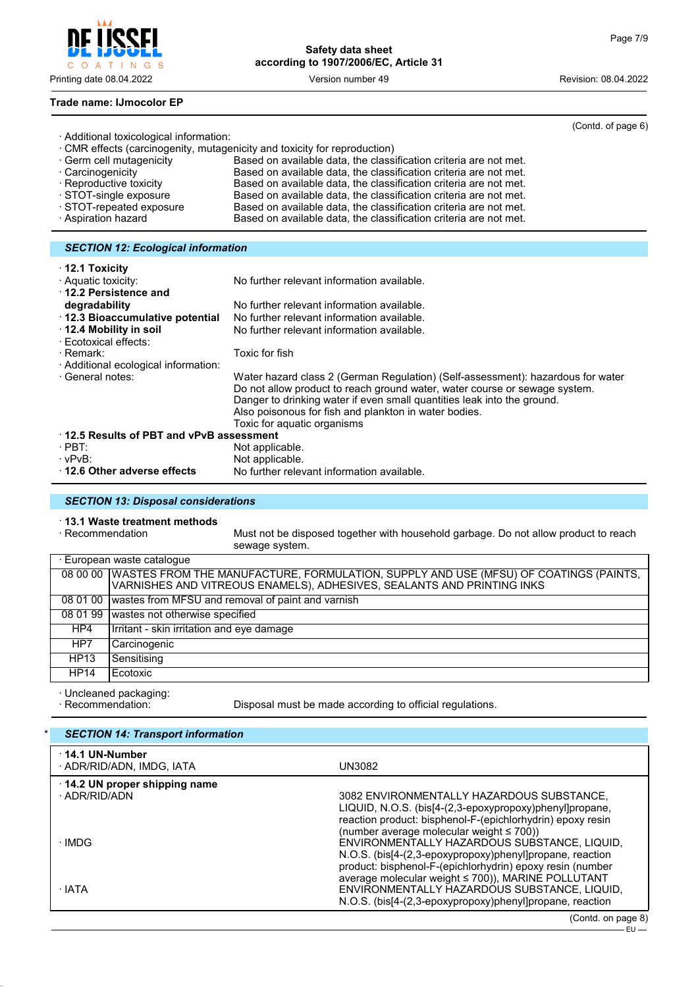

(Contd. of page 6)

#### **Trade name: IJmocolor EP**

| · Additional toxicological information:                              |                                                                           |  |  |
|----------------------------------------------------------------------|---------------------------------------------------------------------------|--|--|
|                                                                      | · CMR effects (carcinogenity, mutagenicity and toxicity for reproduction) |  |  |
| · Germ cell mutagenicity                                             | Based on available data, the classification criteria are not met.         |  |  |
| · Carcinogenicity                                                    | Based on available data, the classification criteria are not met.         |  |  |
| · Reproductive toxicity                                              | Based on available data, the classification criteria are not met.         |  |  |
| STOT-single exposure                                                 | Based on available data, the classification criteria are not met.         |  |  |
| STOT-repeated exposure                                               | Based on available data, the classification criteria are not met.         |  |  |
| · Aspiration hazard                                                  | Based on available data, the classification criteria are not met.         |  |  |
|                                                                      |                                                                           |  |  |
| <b>SECTION 12: Ecological information</b>                            |                                                                           |  |  |
| $\cdot$ 12.1 Toxicity<br>· Aquatic toxicity:<br>12.2 Persistence and | No further relevant information available.                                |  |  |

| degradability                                   | No further relevant information available.                                                                                                                                                                                                                                                                                       |  |  |
|-------------------------------------------------|----------------------------------------------------------------------------------------------------------------------------------------------------------------------------------------------------------------------------------------------------------------------------------------------------------------------------------|--|--|
| 12.3 Bioaccumulative potential                  | No further relevant information available.                                                                                                                                                                                                                                                                                       |  |  |
| 12.4 Mobility in soil<br>· Ecotoxical effects:  | No further relevant information available.                                                                                                                                                                                                                                                                                       |  |  |
| · Remark:                                       | Toxic for fish                                                                                                                                                                                                                                                                                                                   |  |  |
| Additional ecological information:              |                                                                                                                                                                                                                                                                                                                                  |  |  |
| · General notes:                                | Water hazard class 2 (German Regulation) (Self-assessment): hazardous for water<br>Do not allow product to reach ground water, water course or sewage system.<br>Danger to drinking water if even small quantities leak into the ground.<br>Also poisonous for fish and plankton in water bodies.<br>Toxic for aquatic organisms |  |  |
| $\cdot$ 12.5 Results of PBT and vPvB assessment |                                                                                                                                                                                                                                                                                                                                  |  |  |
| $\cdot$ PBT:                                    | Not applicable.                                                                                                                                                                                                                                                                                                                  |  |  |
| · vPvB:                                         | Not applicable.                                                                                                                                                                                                                                                                                                                  |  |  |
| 12.6 Other adverse effects                      | No further relevant information available.                                                                                                                                                                                                                                                                                       |  |  |
|                                                 |                                                                                                                                                                                                                                                                                                                                  |  |  |

### *SECTION 13: Disposal considerations*

# · **13.1 Waste treatment methods**

Must not be disposed together with household garbage. Do not allow product to reach sewage system.

| · European waste cataloque |                                                                                                 |  |  |
|----------------------------|-------------------------------------------------------------------------------------------------|--|--|
|                            | 08 00 00   WASTES FROM THE MANUFACTURE, FORMULATION, SUPPLY AND USE (MFSU) OF COATINGS (PAINTS, |  |  |
|                            | VARNISHES AND VITREOUS ENAMELS), ADHESIVES, SEALANTS AND PRINTING INKS                          |  |  |
|                            | 08 01 00 wastes from MFSU and removal of paint and varnish                                      |  |  |
|                            | 08 01 99 wastes not otherwise specified                                                         |  |  |
| HP4                        | Irritant - skin irritation and eye damage                                                       |  |  |
| HP7                        | Carcinogenic                                                                                    |  |  |
| HP13                       | Sensitising                                                                                     |  |  |
| HP14                       | Ecotoxic                                                                                        |  |  |
|                            |                                                                                                 |  |  |

· Uncleaned packaging:

Disposal must be made according to official regulations.

| <b>SECTION 14: Transport information</b>            |                                                                                                                                                                                                                         |
|-----------------------------------------------------|-------------------------------------------------------------------------------------------------------------------------------------------------------------------------------------------------------------------------|
| $\cdot$ 14.1 UN-Number<br>· ADR/RID/ADN. IMDG. IATA | UN3082                                                                                                                                                                                                                  |
| 14.2 UN proper shipping name<br>· ADR/RID/ADN       | 3082 ENVIRONMENTALLY HAZARDOUS SUBSTANCE,<br>LIQUID, N.O.S. (bis[4-(2,3-epoxypropoxy)phenyl]propane,<br>reaction product: bisphenol-F-(epichlorhydrin) epoxy resin                                                      |
| · IMDG                                              | (number average molecular weight $\leq 700$ ))<br>ENVIRONMENTALLY HAZARDOUS SUBSTANCE, LIQUID,<br>N.O.S. (bis[4-(2,3-epoxypropoxy)phenyl]propane, reaction<br>product: bisphenol-F-(epichlorhydrin) epoxy resin (number |
| · IATA                                              | average molecular weight ≤ 700)), MARINE POLLUTANT<br>ENVIRONMENTALLY HAZARDOUS SUBSTANCE, LIQUID,<br>N.O.S. (bis[4-(2,3-epoxypropoxy)phenyl]propane, reaction                                                          |
|                                                     | (Contdonn)                                                                                                                                                                                                              |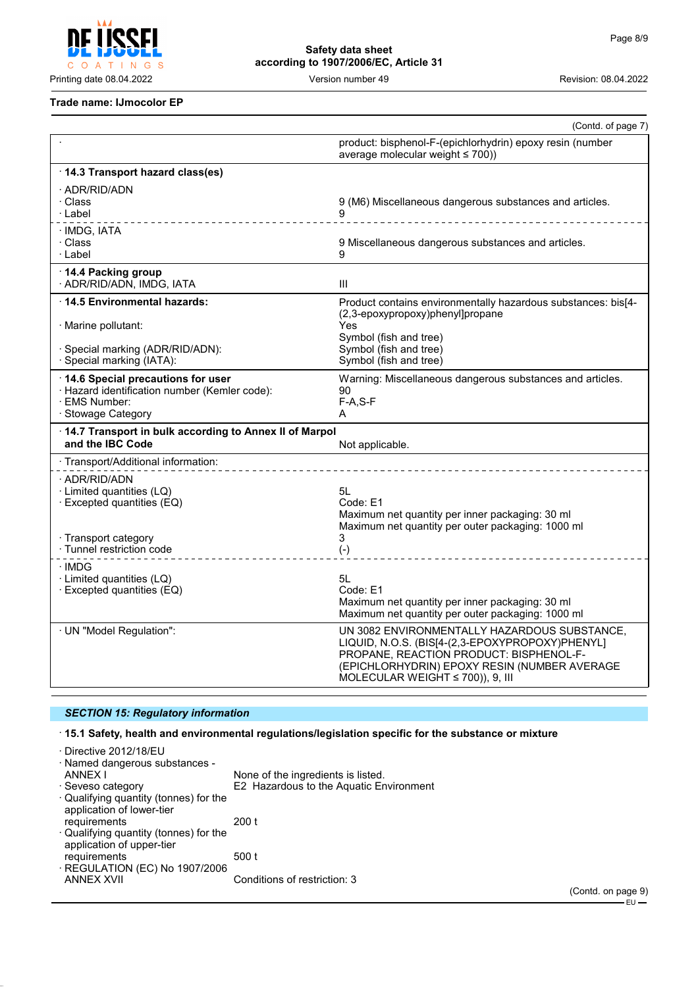

### **Trade name: IJmocolor EP**

|                                                                                                                               | (Contd. of page 7)                                                                                                                                                                                                                  |
|-------------------------------------------------------------------------------------------------------------------------------|-------------------------------------------------------------------------------------------------------------------------------------------------------------------------------------------------------------------------------------|
|                                                                                                                               | product: bisphenol-F-(epichlorhydrin) epoxy resin (number<br>average molecular weight $\leq 700$ ))                                                                                                                                 |
| · 14.3 Transport hazard class(es)                                                                                             |                                                                                                                                                                                                                                     |
| · ADR/RID/ADN<br>· Class<br>· Label                                                                                           | 9 (M6) Miscellaneous dangerous substances and articles.                                                                                                                                                                             |
| · IMDG, IATA<br>· Class<br>· Label                                                                                            | 9 Miscellaneous dangerous substances and articles.<br>g                                                                                                                                                                             |
| 14.4 Packing group<br>· ADR/RID/ADN, IMDG, IATA                                                                               | Ш                                                                                                                                                                                                                                   |
| ⋅14.5 Environmental hazards:<br>· Marine pollutant:<br>· Special marking (ADR/RID/ADN):<br>· Special marking (IATA):          | Product contains environmentally hazardous substances: bis[4-<br>(2,3-epoxypropoxy)phenyl]propane<br>Yes<br>Symbol (fish and tree)<br>Symbol (fish and tree)<br>Symbol (fish and tree)                                              |
| 14.6 Special precautions for user<br>· Hazard identification number (Kemler code):<br>· EMS Number:<br>· Stowage Category     | Warning: Miscellaneous dangerous substances and articles.<br>90<br>$F-A, S-F$<br>A                                                                                                                                                  |
| 14.7 Transport in bulk according to Annex II of Marpol<br>and the IBC Code                                                    | Not applicable.                                                                                                                                                                                                                     |
| · Transport/Additional information:                                                                                           |                                                                                                                                                                                                                                     |
| · ADR/RID/ADN<br>· Limited quantities (LQ)<br>· Excepted quantities (EQ)<br>· Transport category<br>· Tunnel restriction code | 5L<br>Code: E1<br>Maximum net quantity per inner packaging: 30 ml<br>Maximum net quantity per outer packaging: 1000 ml<br>3                                                                                                         |
|                                                                                                                               | $(-)$                                                                                                                                                                                                                               |
| · IMDG<br>· Limited quantities (LQ)<br>$\cdot$ Excepted quantities (EQ)                                                       | 5L<br>Code: E1<br>Maximum net quantity per inner packaging: 30 ml<br>Maximum net quantity per outer packaging: 1000 ml                                                                                                              |
| · UN "Model Regulation":                                                                                                      | UN 3082 ENVIRONMENTALLY HAZARDOUS SUBSTANCE,<br>LIQUID, N.O.S. (BIS[4-(2,3-EPOXYPROPOXY)PHENYL]<br>PROPANE, REACTION PRODUCT: BISPHENOL-F-<br>(EPICHLORHYDRIN) EPOXY RESIN (NUMBER AVERAGE<br>MOLECULAR WEIGHT $\leq$ 700)), 9, III |

# *SECTION 15: Regulatory information*

· **15.1 Safety, health and environmental regulations/legislation specific for the substance or mixture**

| · Directive 2012/18/EU                                                    |                                         |
|---------------------------------------------------------------------------|-----------------------------------------|
| · Named dangerous substances -                                            |                                         |
| ANNEX I                                                                   | None of the ingredients is listed.      |
| · Seveso category                                                         | E2 Hazardous to the Aquatic Environment |
| $\cdot$ Qualifying quantity (tonnes) for the<br>application of lower-tier |                                         |
| requirements                                                              | 200 t                                   |
| · Qualifying quantity (tonnes) for the<br>application of upper-tier       |                                         |
| requirements<br>· REGULATION (EC) No 1907/2006                            | 500 t                                   |
| <b>ANNEX XVII</b>                                                         | Conditions of restriction: 3            |
|                                                                           |                                         |

(Contd. on page 9)